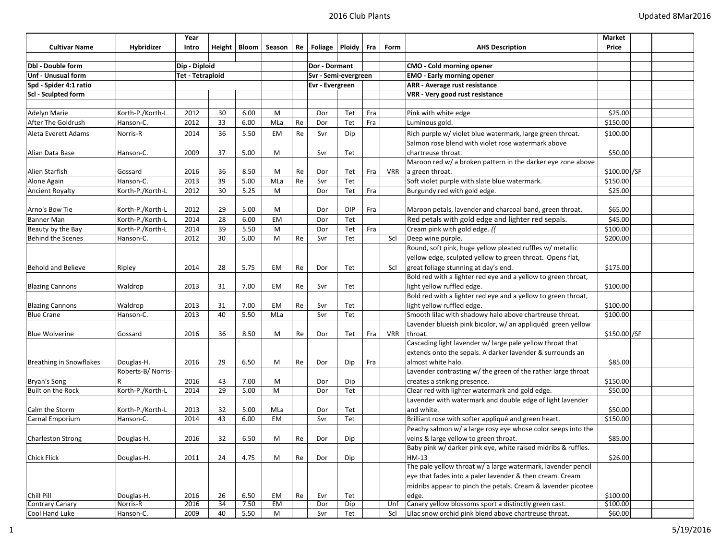|                                |                   | Year                    |    |                |           |    |                        |               |     |            |                                                               | Market        |
|--------------------------------|-------------------|-------------------------|----|----------------|-----------|----|------------------------|---------------|-----|------------|---------------------------------------------------------------|---------------|
| <b>Cultivar Name</b>           | Hybridizer        | Intro                   |    | Height   Bloom | Season    | Re | Foliage   Ploidy   Fra |               |     | Form       | <b>AHS Description</b>                                        | Price         |
|                                |                   |                         |    |                |           |    |                        |               |     |            |                                                               |               |
| Dbl - Double form              |                   | Dip - Diploid           |    |                |           |    |                        | Dor - Dormant |     |            | <b>CMO - Cold morning opener</b>                              |               |
| Unf - Unusual form             |                   | <b>Tet - Tetraploid</b> |    |                |           |    | Svr - Semi-evergreen   |               |     |            | <b>EMO</b> - Early morning opener                             |               |
| Spd - Spider 4:1 ratio         |                   |                         |    |                |           |    | Evr - Evergreen        |               |     |            | <b>ARR</b> - Average rust resistance                          |               |
| Scl - Sculpted form            |                   |                         |    |                |           |    |                        |               |     |            | <b>VRR</b> - Very good rust resistance                        |               |
|                                |                   |                         |    |                |           |    |                        |               |     |            |                                                               |               |
| <b>Adelyn Marie</b>            | Korth-P./Korth-L  | 2012                    | 30 | 6.00           | M         |    | Dor                    | Tet           | Fra |            | Pink with white edge                                          | \$25.00       |
| After The Goldrush             | Hanson-C.         | 2012                    | 33 | 6.00           | MLa       | Re | Dor                    | Tet           | Fra |            | Luminous gold.                                                | \$150.00      |
| Aleta Everett Adams            | Norris-R          | 2014                    | 36 | 5.50           | EM        | Re | Svr                    | Dip           |     |            | Rich purple w/ violet blue watermark, large green throat.     | \$100.00      |
|                                |                   |                         |    |                |           |    |                        |               |     |            | Salmon rose blend with violet rose watermark above            |               |
| Alian Data Base                | Hanson-C.         | 2009                    | 37 | 5.00           | M         |    | Svr                    | Tet           |     |            | chartreuse throat.                                            | \$50.00       |
|                                |                   |                         |    |                |           |    |                        |               |     |            | Maroon red w/ a broken pattern in the darker eye zone above   |               |
| Alien Starfish                 | Gossard           | 2016                    | 36 | 8.50           | M         | Re | Dor                    | Tet           | Fra | <b>VRR</b> | a green throat.                                               | $$100.00$ /SF |
| Alone Again                    | Hanson-C.         | 2013                    | 39 | 5.00           | MLa       | Re | Svr                    | Tet           |     |            | Soft violet purple with slate blue watermark.                 | \$150.00      |
| <b>Ancient Royalty</b>         | Korth-P./Korth-L  | 2012                    | 30 | 5.25           | M         |    | Dor                    | Tet           | Fra |            | Burgundy red with gold edge.                                  | \$25.00       |
|                                |                   |                         |    |                |           |    |                        |               |     |            |                                                               |               |
| Arno's Bow Tie                 | Korth-P./Korth-L  | 2012                    | 29 | 5.00           | M         |    | Dor                    | <b>DIP</b>    | Fra |            | Maroon petals, lavender and charcoal band, green throat.      | \$65.00       |
| <b>Banner Man</b>              | Korth-P./Korth-L  | 2014                    | 28 | 6.00           | <b>EM</b> |    | Dor                    | Tet           |     |            | Red petals with gold edge and lighter red sepals.             | \$45.00       |
| Beauty by the Bay              | Korth-P./Korth-L  | 2014                    | 39 | 5.50           | M         |    | Dor                    | Tet           | Fra |            | Cream pink with gold edge. (                                  | \$100.00      |
| <b>Behind the Scenes</b>       | Hanson-C.         | 2012                    | 30 | 5.00           | M         | Re | Svr                    | Tet           |     | Scl        | Deep wine purple.                                             | \$200.00      |
|                                |                   |                         |    |                |           |    |                        |               |     |            | Round, soft pink, huge yellow pleated ruffles w/ metallic     |               |
|                                |                   |                         |    |                |           |    |                        |               |     |            | yellow edge, sculpted yellow to green throat. Opens flat,     |               |
| <b>Behold and Believe</b>      | Ripley            | 2014                    | 28 | 5.75           | EM        | Re | Dor                    | Tet           |     | Scl        | great foliage stunning at day's end.                          | \$175.00      |
|                                |                   |                         |    |                |           |    |                        |               |     |            | Bold red with a lighter red eye and a yellow to green throat, |               |
| <b>Blazing Cannons</b>         | Waldrop           | 2013                    | 31 | 7.00           | EM        | Re | Svr                    | Tet           |     |            | light yellow ruffled edge.                                    | \$100.00      |
|                                |                   |                         |    |                |           |    |                        |               |     |            | Bold red with a lighter red eye and a yellow to green throat, |               |
| <b>Blazing Cannons</b>         | Waldrop           | 2013                    | 31 | 7.00           | EM        | Re | Svr                    | Tet           |     |            | light yellow ruffled edge.                                    | \$100.00      |
| <b>Blue Crane</b>              | Hanson-C.         | 2013                    | 40 | 5.50           | MLa       |    | Svr                    | Tet           |     |            | Smooth lilac with shadowy halo above chartreuse throat.       | \$100.00      |
|                                |                   |                         |    |                |           |    |                        |               |     |            | Lavender blueish pink bicolor, w/ an appliquéd green yellow   |               |
| <b>Blue Wolverine</b>          | Gossard           | 2016                    | 36 | 8.50           | M         | Re | Dor                    | Tet           | Fra | <b>VRR</b> | throat.                                                       | \$150.00 / SF |
|                                |                   |                         |    |                |           |    |                        |               |     |            | Cascading light lavender w/ large pale yellow throat that     |               |
|                                |                   |                         |    |                |           |    |                        |               |     |            | extends onto the sepals. A darker lavender & surrounds an     |               |
| <b>Breathing in Snowflakes</b> | Douglas-H.        | 2016                    | 29 | 6.50           | M         | Re | Dor                    | Dip           | Fra |            | almost white halo.                                            | \$85.00       |
|                                | Roberts-B/Norris- |                         |    |                |           |    |                        |               |     |            | Lavender contrasting w/ the green of the rather large throat  |               |
| Bryan's Song                   | R                 | 2016                    | 43 | 7.00           | M         |    | Dor                    | Dip           |     |            | creates a striking presence.                                  | \$150.00      |
| Built on the Rock              | Korth-P./Korth-L  | 2014                    | 29 | 5.00           | M         |    | Dor                    | Tet           |     |            | Clear red with lighter watermark and gold edge.               | \$50.00       |
|                                |                   |                         |    |                |           |    |                        |               |     |            | Lavender with watermark and double edge of light lavender     |               |
| Calm the Storm                 | Korth-P./Korth-L  | 2013                    | 32 | 5.00           | MLa       |    | Dor                    | Tet           |     |            | and white.                                                    | \$50.00       |
| Carnal Emporium                | Hanson-C.         | 2014                    | 43 | 6.00           | EM        |    | Svr                    | Tet           |     |            | Brilliant rose with softer appliqué and green heart.          | \$150.00      |
|                                |                   |                         |    |                |           |    |                        |               |     |            | Peachy salmon w/ a large rosy eye whose color seeps into the  |               |
| <b>Charleston Strong</b>       | Douglas-H.        | 2016                    | 32 | 6.50           | м         | Re | Dor                    | Dip           |     |            | veins & large yellow to green throat.                         | \$85.00       |
|                                |                   |                         |    |                |           |    |                        |               |     |            | Baby pink w/ darker pink eye, white raised midribs & ruffles. |               |
| <b>Chick Flick</b>             | Douglas-H.        | 2011                    | 24 | 4.75           | M         | Re | Dor                    | Dip           |     |            | HM-13                                                         | \$26.00       |
|                                |                   |                         |    |                |           |    |                        |               |     |            | The pale yellow throat w/ a large watermark, lavender pencil  |               |
|                                |                   |                         |    |                |           |    |                        |               |     |            | eye that fades into a paler lavender & then cream. Cream      |               |
|                                |                   |                         |    |                |           |    |                        |               |     |            | midribs appear to pinch the petals. Cream & lavender picotee  |               |
| Chill Pill                     | Douglas-H.        | 2016                    | 26 | 6.50           | EM        | Re | Evr                    | Tet           |     |            | edge.                                                         | \$100.00      |
| <b>Contrary Canary</b>         | Norris-R          | 2016                    | 34 | 7.50           | <b>EM</b> |    | Dor                    | Dip           |     | Unf        | Canary yellow blossoms sport a distinctly green cast.         | \$100.00      |
| Cool Hand Luke                 | Hanson-C.         | 2009                    | 40 | 5.50           | M         |    | Svr                    | Tet           |     | Scl        | Lilac snow orchid pink blend above chartreuse throat.         | \$60.00       |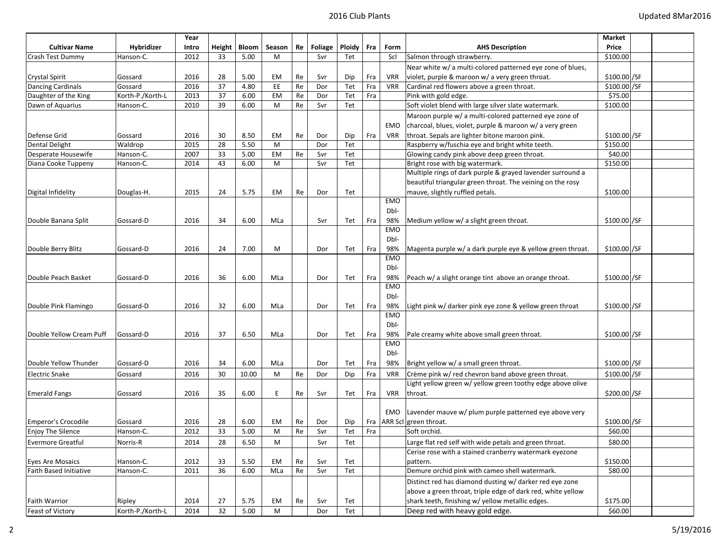|                            |                  | Year  |    |                |                                                                                                            |    |         |                               |     |            |                                                             | Market        |  |
|----------------------------|------------------|-------|----|----------------|------------------------------------------------------------------------------------------------------------|----|---------|-------------------------------|-----|------------|-------------------------------------------------------------|---------------|--|
| <b>Cultivar Name</b>       | Hybridizer       | Intro |    | Height   Bloom | Season                                                                                                     | Re | Foliage | Ploidy                        | Fra | Form       | <b>AHS Description</b>                                      | Price         |  |
| Crash Test Dummy           | Hanson-C.        | 2012  | 33 | 5.00           | M                                                                                                          |    | Svr     | Tet                           |     | Scl        | Salmon through strawberry.                                  | \$100.00      |  |
|                            |                  |       |    |                |                                                                                                            |    |         |                               |     |            | Near white w/ a multi-colored patterned eye zone of blues,  |               |  |
| <b>Crystal Spirit</b>      | Gossard          | 2016  | 28 | 5.00           | EM                                                                                                         | Re | Svr     | Dip                           | Fra | <b>VRR</b> | violet, purple & maroon w/ a very green throat.             | \$100.00 / SF |  |
| <b>Dancing Cardinals</b>   | Gossard          | 2016  | 37 | 4.80           | EE                                                                                                         | Re | Dor     | Tet                           | Fra | <b>VRR</b> | Cardinal red flowers above a green throat.                  | \$100.00 /SF  |  |
| Daughter of the King       | Korth-P./Korth-L | 2013  | 37 | 6.00           | EM                                                                                                         | Re | Dor     | Tet                           | Fra |            | Pink with gold edge.                                        | \$75.00       |  |
| Dawn of Aquarius           | Hanson-C.        | 2010  | 39 | 6.00           | M                                                                                                          | Re | Svr     | Tet                           |     |            | Soft violet blend with large silver slate watermark.        | \$100.00      |  |
|                            |                  |       |    |                |                                                                                                            |    |         |                               |     |            | Maroon purple w/ a multi-colored patterned eye zone of      |               |  |
|                            |                  |       |    |                |                                                                                                            |    |         |                               |     | <b>EMO</b> | charcoal, blues, violet, purple & maroon w/ a very green    |               |  |
| Defense Grid               | Gossard          | 2016  | 30 | 8.50           | EM                                                                                                         | Re | Dor     | Dip                           | Fra | <b>VRR</b> | throat. Sepals are lighter bitone maroon pink.              | \$100.00 / SF |  |
| <b>Dental Delight</b>      | Waldrop          | 2015  | 28 | 5.50           | M                                                                                                          |    | Dor     | Tet                           |     |            | Raspberry w/fuschia eye and bright white teeth.             | \$150.00      |  |
| Desperate Housewife        | Hanson-C.        | 2007  | 33 | 5.00           | EM                                                                                                         | Re | Svr     | Tet                           |     |            | Glowing candy pink above deep green throat.                 | \$40.00       |  |
| Diana Cooke Tuppeny        | Hanson-C.        | 2014  | 43 | 6.00           | M                                                                                                          |    | Svr     | Tet                           |     |            | Bright rose with big watermark.                             | \$150.00      |  |
|                            |                  |       |    |                |                                                                                                            |    |         |                               |     |            | Multiple rings of dark purple & grayed lavender surround a  |               |  |
|                            |                  |       |    |                |                                                                                                            |    |         |                               |     |            | beautiful triangular green throat. The veining on the rosy  |               |  |
| Digital Infidelity         | Douglas-H.       | 2015  | 24 | 5.75           | EM                                                                                                         | Re | Dor     | Tet                           |     |            | mauve, slightly ruffled petals.                             | \$100.00      |  |
|                            |                  |       |    |                |                                                                                                            |    |         |                               |     | <b>EMO</b> |                                                             |               |  |
|                            |                  |       |    |                |                                                                                                            |    |         |                               |     | Dbl-       |                                                             |               |  |
| Double Banana Split        | Gossard-D        | 2016  | 34 | 6.00           | MLa                                                                                                        |    | Svr     | Tet                           | Fra | 98%        | Medium yellow w/ a slight green throat.                     | \$100.00 SF   |  |
|                            |                  |       |    |                |                                                                                                            |    |         |                               |     | <b>EMO</b> |                                                             |               |  |
|                            |                  |       |    |                |                                                                                                            |    |         |                               |     | Dbl-       |                                                             |               |  |
| Double Berry Blitz         | Gossard-D        | 2016  | 24 | 7.00           | М                                                                                                          |    | Dor     | Tet                           | Fra | 98%        | Magenta purple w/ a dark purple eye & yellow green throat.  | \$100.00 SF   |  |
|                            |                  |       |    |                |                                                                                                            |    |         |                               |     | EMO        |                                                             |               |  |
|                            |                  |       |    |                |                                                                                                            |    |         |                               |     | Dbl-       |                                                             |               |  |
| Double Peach Basket        | Gossard-D        | 2016  | 36 | 6.00           | MLa                                                                                                        |    | Dor     | Tet                           | Fra | 98%        | Peach w/ a slight orange tint above an orange throat.       | \$100.00 /SF  |  |
|                            |                  |       |    |                |                                                                                                            |    |         |                               |     | <b>EMO</b> |                                                             |               |  |
|                            |                  |       |    |                |                                                                                                            |    |         |                               |     | Dbl-       |                                                             |               |  |
| Double Pink Flamingo       | Gossard-D        | 2016  | 32 | 6.00           | MLa                                                                                                        |    | Dor     | Tet                           | Fra | 98%        | Light pink w/ darker pink eye zone & yellow green throat    | \$100.00 / SF |  |
|                            |                  |       |    |                |                                                                                                            |    |         |                               |     | <b>EMO</b> |                                                             |               |  |
|                            |                  |       |    |                |                                                                                                            |    |         |                               |     | Dbl-       |                                                             |               |  |
| Double Yellow Cream Puff   | Gossard-D        | 2016  | 37 | 6.50           | MLa                                                                                                        |    | Dor     | Tet                           | Fra | 98%        | Pale creamy white above small green throat.                 | \$100.00 / SF |  |
|                            |                  |       |    |                |                                                                                                            |    |         |                               |     | <b>EMO</b> |                                                             |               |  |
|                            |                  |       |    |                |                                                                                                            |    |         |                               |     | Dbl-       |                                                             |               |  |
| Double Yellow Thunder      | Gossard-D        | 2016  | 34 | 6.00           | MLa                                                                                                        |    | Dor     | Tet                           | Fra | 98%        | Bright yellow w/ a small green throat.                      | \$100.00 / SF |  |
| <b>Electric Snake</b>      | Gossard          | 2016  | 30 | 10.00          | М                                                                                                          | Re | Dor     | Dip                           | Fra | <b>VRR</b> | Crème pink w/ red chevron band above green throat.          | \$100.00 / SF |  |
|                            |                  |       |    |                |                                                                                                            |    |         |                               |     |            | Light yellow green w/ yellow green toothy edge above olive  |               |  |
| <b>Emerald Fangs</b>       | Gossard          | 2016  | 35 | 6.00           | E                                                                                                          | Re | Svr     | Tet                           | Fra | <b>VRR</b> | throat.                                                     | \$200.00 / SF |  |
|                            |                  |       |    |                |                                                                                                            |    |         |                               |     |            |                                                             |               |  |
|                            |                  |       |    |                |                                                                                                            |    |         |                               |     | EMO        | Lavender mauve w/ plum purple patterned eye above very      |               |  |
| <b>Emperor's Crocodile</b> | Gossard          | 2016  | 28 | 6.00           | EM                                                                                                         | Re | Dor     | Dip                           | Fra |            | ARR Scl green throat.                                       | \$100.00 / SF |  |
| <b>Enjoy The Silence</b>   | Hanson-C.        | 2012  | 33 | 5.00           | M                                                                                                          | Re | Svr     | Tet                           | Fra |            | Soft orchid.                                                | \$60.00       |  |
| <b>Evermore Greatful</b>   | Norris-R         | 2014  | 28 | 6.50           | М                                                                                                          |    | Svr     | $\operatorname{\mathsf{T}et}$ |     |            | Large flat red self with wide petals and green throat.      | \$80.00       |  |
|                            |                  |       |    |                |                                                                                                            |    |         |                               |     |            | Cerise rose with a stained cranberry watermark eyezone      |               |  |
| Eyes Are Mosaics           | Hanson-C.        | 2012  | 33 | 5.50           | EM                                                                                                         | Re | Svr     | Tet                           |     |            | pattern.                                                    | \$150.00      |  |
| Faith Based Initiative     | Hanson-C.        | 2011  | 36 | 6.00           | MLa                                                                                                        | Re | Svr     | Tet                           |     |            | Demure orchid pink with cameo shell watermark.              | \$80.00       |  |
|                            |                  |       |    |                |                                                                                                            |    |         |                               |     |            | Distinct red has diamond dusting w/ darker red eye zone     |               |  |
|                            |                  |       |    |                |                                                                                                            |    |         |                               |     |            | above a green throat, triple edge of dark red, white yellow |               |  |
| <b>Faith Warrior</b>       | Ripley           | 2014  | 27 | 5.75           | EM                                                                                                         | Re | Svr     | Tet                           |     |            | shark teeth, finishing w/ yellow metallic edges.            | \$175.00      |  |
| Feast of Victory           | Korth-P./Korth-L | 2014  | 32 | 5.00           | $\mathsf{M}% _{T}=\mathsf{M}_{T}\!\left( a,b\right) ,\ \mathsf{M}_{T}=\mathsf{M}_{T}\!\left( a,b\right) ,$ |    | Dor     | Tet                           |     |            | Deep red with heavy gold edge.                              | \$60.00       |  |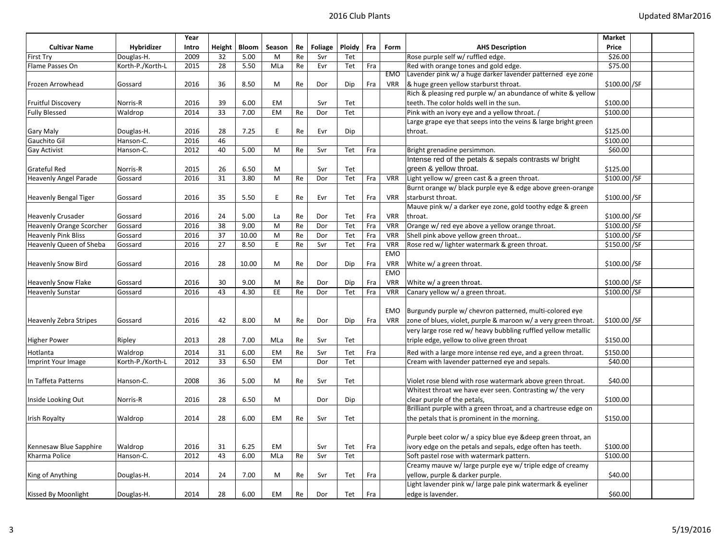|                               |                  | Year         |          |              |             |    |         |        |     |                          |                                                                | Market                         |  |
|-------------------------------|------------------|--------------|----------|--------------|-------------|----|---------|--------|-----|--------------------------|----------------------------------------------------------------|--------------------------------|--|
| <b>Cultivar Name</b>          | Hybridizer       | Intro        | Height   | <b>Bloom</b> | Season      | Re | Foliage | Ploidy | Fra | Form                     | <b>AHS Description</b>                                         | Price                          |  |
| <b>First Try</b>              | Douglas-H.       | 2009         | 32       | 5.00         | M           | Re | Svr     | Tet    |     |                          | Rose purple self w/ ruffled edge.                              | \$26.00                        |  |
| Flame Passes On               | Korth-P./Korth-L | 2015         | 28       | 5.50         | MLa         | Re | Evr     | Tet    | Fra |                          | Red with orange tones and gold edge.                           | \$75.00                        |  |
|                               |                  |              |          |              |             |    |         |        |     | <b>EMO</b>               | Lavender pink w/ a huge darker lavender patterned eye zone     |                                |  |
| Frozen Arrowhead              | Gossard          | 2016         | 36       | 8.50         | M           | Re | Dor     | Dip    | Fra | <b>VRR</b>               | & huge green yellow starburst throat.                          | \$100.00 / SF                  |  |
|                               |                  |              |          |              |             |    |         |        |     |                          | Rich & pleasing red purple w/ an abundance of white & yellow   |                                |  |
| <b>Fruitful Discovery</b>     | Norris-R         | 2016         | 39       | 6.00         | EM          |    | Svr     | Tet    |     |                          | teeth. The color holds well in the sun.                        | \$100.00                       |  |
| <b>Fully Blessed</b>          | Waldrop          | 2014         | 33       | 7.00         | EM          | Re | Dor     | Tet    |     |                          | Pink with an ivory eye and a yellow throat. (                  | \$100.00                       |  |
|                               |                  |              |          |              |             |    |         |        |     |                          | Large grape eye that seeps into the veins & large bright green |                                |  |
| Gary Maly                     | Douglas-H.       | 2016         | 28       | 7.25         | E           | Re | Evr     | Dip    |     |                          | throat.                                                        | \$125.00                       |  |
| Gauchito Gil                  | Hanson-C.        | 2016         | 46       |              |             |    |         |        |     |                          |                                                                | \$100.00                       |  |
| Gay Activist                  | Hanson-C.        | 2012         | 40       | 5.00         | M           | Re | Svr     | Tet    | Fra |                          | Bright grenadine persimmon.                                    | \$60.00                        |  |
|                               |                  |              |          |              |             |    |         |        |     |                          | Intense red of the petals & sepals contrasts w/ bright         |                                |  |
| Grateful Red                  | Norris-R         | 2015         | 26       | 6.50         | M           |    | Svr     | Tet    |     |                          | green & yellow throat.                                         | \$125.00                       |  |
| <b>Heavenly Angel Parade</b>  | Gossard          | 2016         | 31       | 3.80         | M           | Re | Dor     | Tet    | Fra | <b>VRR</b>               | Light yellow w/ green cast & a green throat.                   | \$100.00 /SF                   |  |
|                               |                  |              |          |              |             |    |         |        |     |                          | Burnt orange w/ black purple eye & edge above green-orange     |                                |  |
| <b>Heavenly Bengal Tiger</b>  | Gossard          | 2016         | 35       | 5.50         | $\mathsf E$ | Re | Evr     | Tet    | Fra | <b>VRR</b>               | starburst throat.                                              | \$100.00 /SF                   |  |
|                               |                  |              |          |              |             |    |         |        |     |                          | Mauve pink w/ a darker eye zone, gold toothy edge & green      |                                |  |
| <b>Heavenly Crusader</b>      | Gossard          | 2016         | 24       | 5.00         | La          | Re | Dor     | Tet    | Fra | <b>VRR</b>               | throat.                                                        | \$100.00 /SF                   |  |
| Heavenly Orange Scorcher      | Gossard          | 2016         | 38       | 9.00         | M           | Re | Dor     | Tet    | Fra | <b>VRR</b>               | Orange w/ red eye above a yellow orange throat.                | \$100.00 /SF                   |  |
| <b>Heavenly Pink Bliss</b>    | Gossard          | 2016         | 37       | 10.00        | M           | Re | Dor     | Tet    | Fra | <b>VRR</b>               | Shell pink above yellow green throat                           | \$100.00 / SF                  |  |
| Heavenly Queen of Sheba       | Gossard          | 2016         | 27       | 8.50         | E           | Re | Svr     | Tet    | Fra | <b>VRR</b>               | Rose red w/ lighter watermark & green throat.                  | \$150.00 / SF                  |  |
|                               |                  |              |          |              |             |    |         |        |     | <b>EMO</b>               |                                                                |                                |  |
| <b>Heavenly Snow Bird</b>     | Gossard          | 2016         | 28       | 10.00        | M           | Re | Dor     | Dip    | Fra | <b>VRR</b>               | White w/ a green throat.                                       | \$100.00 / SF                  |  |
|                               |                  |              |          |              |             |    |         |        |     | <b>EMO</b>               |                                                                |                                |  |
| <b>Heavenly Snow Flake</b>    | Gossard          | 2016<br>2016 | 30<br>43 | 9.00<br>4.30 | M<br>EE     | Re | Dor     | Dip    | Fra | <b>VRR</b><br><b>VRR</b> | White w/ a green throat.                                       | $$100.00$ /SF<br>\$100.00 / SF |  |
| <b>Heavenly Sunstar</b>       | Gossard          |              |          |              |             | Re | Dor     | Tet    | Fra |                          | Canary yellow w/ a green throat.                               |                                |  |
|                               |                  |              |          |              |             |    |         |        |     | EMO                      | Burgundy purple w/ chevron patterned, multi-colored eye        |                                |  |
| <b>Heavenly Zebra Stripes</b> | Gossard          | 2016         | 42       | 8.00         | M           | Re | Dor     | Dip    | Fra | <b>VRR</b>               | zone of blues, violet, purple & maroon w/ a very green throat. | \$100.00 / SF                  |  |
|                               |                  |              |          |              |             |    |         |        |     |                          | very large rose red w/ heavy bubbling ruffled yellow metallic  |                                |  |
| <b>Higher Power</b>           | Ripley           | 2013         | 28       | 7.00         | MLa         | Re | Svr     | Tet    |     |                          | triple edge, yellow to olive green throat                      | \$150.00                       |  |
|                               |                  |              |          |              |             |    |         |        |     |                          |                                                                |                                |  |
| Hotlanta                      | Waldrop          | 2014         | 31       | 6.00         | EM          | Re | Svr     | Tet    | Fra |                          | Red with a large more intense red eye, and a green throat.     | \$150.00                       |  |
| Imprint Your Image            | Korth-P./Korth-L | 2012         | 33       | 6.50         | EM          |    | Dor     | Tet    |     |                          | Cream with lavender patterned eye and sepals.                  | \$40.00                        |  |
|                               |                  |              |          |              |             |    |         |        |     |                          |                                                                |                                |  |
| In Taffeta Patterns           | Hanson-C.        | 2008         | 36       | 5.00         | М           | Re | Svr     | Tet    |     |                          | Violet rose blend with rose watermark above green throat.      | \$40.00                        |  |
|                               |                  |              |          |              |             |    |         |        |     |                          | Whitest throat we have ever seen. Contrasting w/ the very      |                                |  |
| Inside Looking Out            | Norris-R         | 2016         | 28       | 6.50         | M           |    | Dor     | Dip    |     |                          | clear purple of the petals,                                    | \$100.00                       |  |
|                               |                  |              |          |              |             |    |         |        |     |                          | Brilliant purple with a green throat, and a chartreuse edge on |                                |  |
| Irish Royalty                 | Waldrop          | 2014         | 28       | 6.00         | EM          | Re | Svr     | Tet    |     |                          | the petals that is prominent in the morning.                   | \$150.00                       |  |
|                               |                  |              |          |              |             |    |         |        |     |                          |                                                                |                                |  |
|                               |                  |              |          |              |             |    |         |        |     |                          | Purple beet color w/ a spicy blue eye & deep green throat, an  |                                |  |
| Kennesaw Blue Sapphire        | Waldrop          | 2016         | 31       | 6.25         | <b>EM</b>   |    | Svr     | Tet    | Fra |                          | ivory edge on the petals and sepals, edge often has teeth.     | \$100.00                       |  |
| Kharma Police                 | Hanson-C.        | 2012         | 43       | 6.00         | MLa         | Re | Svr     | Tet    |     |                          | Soft pastel rose with watermark pattern.                       | \$100.00                       |  |
|                               |                  |              |          | 7.00         |             |    |         |        |     |                          | Creamy mauve w/ large purple eye w/ triple edge of creamy      |                                |  |
| King of Anything              | Douglas-H.       | 2014         | 24       |              | M           | Re | Svr     | Tet    | Fra |                          | yellow, purple & darker purple.                                | \$40.00                        |  |
|                               |                  |              |          |              |             |    |         |        |     |                          | Light lavender pink w/ large pale pink watermark & eyeliner    |                                |  |
| Kissed By Moonlight           | Douglas-H.       | 2014         | 28       | 6.00         | EM          | Re | Dor     | Tet    | Fra |                          | edge is lavender.                                              | \$60.00                        |  |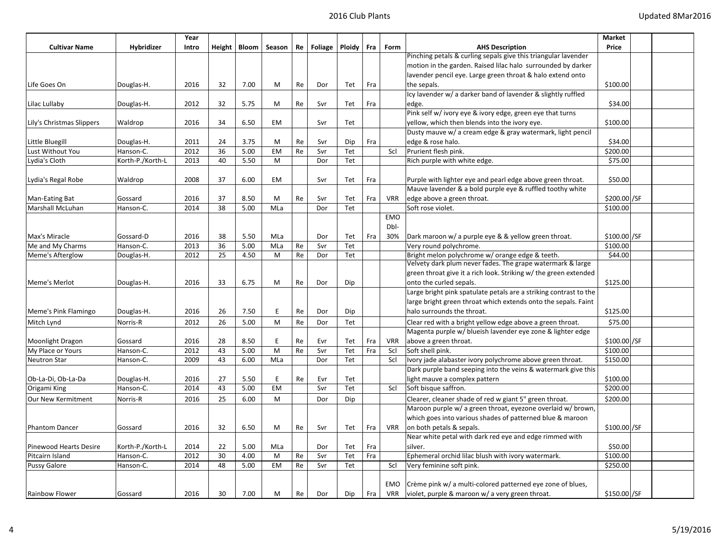|                               |                  | Year  |    |                |           |    |         |        |     |            |                                                                   | Market        |  |
|-------------------------------|------------------|-------|----|----------------|-----------|----|---------|--------|-----|------------|-------------------------------------------------------------------|---------------|--|
| <b>Cultivar Name</b>          | Hybridizer       | Intro |    | Height   Bloom | Season    | Re | Foliage | Ploidy | Fra | Form       | <b>AHS Description</b>                                            | Price         |  |
|                               |                  |       |    |                |           |    |         |        |     |            | Pinching petals & curling sepals give this triangular lavender    |               |  |
|                               |                  |       |    |                |           |    |         |        |     |            | motion in the garden. Raised lilac halo surrounded by darker      |               |  |
|                               |                  |       |    |                |           |    |         |        |     |            | lavender pencil eye. Large green throat & halo extend onto        |               |  |
| Life Goes On                  | Douglas-H.       | 2016  | 32 | 7.00           | М         | Re | Dor     | Tet    | Fra |            | the sepals.                                                       | \$100.00      |  |
|                               |                  |       |    |                |           |    |         |        |     |            | Icy lavender w/ a darker band of lavender & slightly ruffled      |               |  |
| Lilac Lullaby                 | Douglas-H.       | 2012  | 32 | 5.75           | М         | Re | Svr     | Tet    | Fra |            | edge.                                                             | \$34.00       |  |
|                               |                  |       |    |                |           |    |         |        |     |            | Pink self w/ ivory eye & ivory edge, green eye that turns         |               |  |
| Lily's Christmas Slippers     | Waldrop          | 2016  | 34 | 6.50           | EM        |    | Svr     | Tet    |     |            | yellow, which then blends into the ivory eye.                     | \$100.00      |  |
|                               |                  |       |    |                |           |    |         |        |     |            | Dusty mauve w/ a cream edge & gray watermark, light pencil        |               |  |
| Little Bluegill               | Douglas-H.       | 2011  | 24 | 3.75           | М         | Re | Svr     | Dip    | Fra |            | edge & rose halo.                                                 | \$34.00       |  |
| Lust Without You              | Hanson-C.        | 2012  | 36 | 5.00           | <b>EM</b> | Re | Svr     | Tet    |     | Scl        | Prurient flesh pink.                                              | \$200.00      |  |
| Lydia's Cloth                 | Korth-P./Korth-L | 2013  | 40 | 5.50           | М         |    | Dor     | Tet    |     |            | Rich purple with white edge.                                      | \$75.00       |  |
|                               |                  |       |    |                |           |    |         |        |     |            |                                                                   |               |  |
| Lydia's Regal Robe            | Waldrop          | 2008  | 37 | 6.00           | EM        |    | Svr     | Tet    | Fra |            | Purple with lighter eye and pearl edge above green throat.        | \$50.00       |  |
|                               |                  |       |    |                |           |    |         |        |     |            | Mauve lavender & a bold purple eye & ruffled toothy white         |               |  |
| <b>Man-Eating Bat</b>         | Gossard          | 2016  | 37 | 8.50           | M         | Re | Svr     | Tet    | Fra | <b>VRR</b> | edge above a green throat.                                        | \$200.00 /SF  |  |
| <b>Marshall McLuhan</b>       | Hanson-C.        | 2014  | 38 | 5.00           | MLa       |    | Dor     | Tet    |     |            | Soft rose violet.                                                 | \$100.00      |  |
|                               |                  |       |    |                |           |    |         |        |     | EMO        |                                                                   |               |  |
|                               |                  |       |    |                |           |    |         |        |     | Dbl-       |                                                                   |               |  |
| Max's Miracle                 | Gossard-D        | 2016  | 38 | 5.50           | MLa       |    | Dor     | Tet    | Fra | 30%        | Dark maroon w/ a purple eye & & yellow green throat.              | \$100.00 / SF |  |
| Me and My Charms              | Hanson-C.        | 2013  | 36 | 5.00           | MLa       | Re | Svr     | Tet    |     |            | Very round polychrome.                                            | \$100.00      |  |
| <b>Meme's Afterglow</b>       | Douglas-H.       | 2012  | 25 | 4.50           | M         | Re | Dor     | Tet    |     |            | Bright melon polychrome w/ orange edge & teeth.                   | \$44.00       |  |
|                               |                  |       |    |                |           |    |         |        |     |            | Velvety dark plum never fades. The grape watermark & large        |               |  |
|                               |                  |       |    |                |           |    |         |        |     |            | green throat give it a rich look. Striking w/ the green extended  |               |  |
| <b>Meme's Merlot</b>          | Douglas-H.       | 2016  | 33 | 6.75           | M         | Re | Dor     | Dip    |     |            | onto the curled sepals.                                           | \$125.00      |  |
|                               |                  |       |    |                |           |    |         |        |     |            | Large bright pink spatulate petals are a striking contrast to the |               |  |
|                               |                  |       |    |                |           |    |         |        |     |            | large bright green throat which extends onto the sepals. Faint    |               |  |
| Meme's Pink Flamingo          | Douglas-H.       | 2016  | 26 | 7.50           | E         | Re | Dor     | Dip    |     |            | halo surrounds the throat.                                        | \$125.00      |  |
| Mitch Lynd                    | Norris-R         | 2012  | 26 | 5.00           | M         | Re | Dor     | Tet    |     |            | Clear red with a bright yellow edge above a green throat.         | \$75.00       |  |
|                               |                  |       |    |                |           |    |         |        |     |            | Magenta purple w/ blueish lavender eye zone & lighter edge        |               |  |
| <b>Moonlight Dragon</b>       | Gossard          | 2016  | 28 | 8.50           | E         | Re | Evr     | Tet    | Fra | <b>VRR</b> | above a green throat.                                             | \$100.00 /SF  |  |
| My Place or Yours             | Hanson-C.        | 2012  | 43 | 5.00           | M         | Re | Svr     | Tet    | Fra | Scl        | Soft shell pink.                                                  | \$100.00      |  |
| <b>Neutron Star</b>           | Hanson-C.        | 2009  | 43 | 6.00           | MLa       |    | Dor     | Tet    |     | Scl        | Ivory jade alabaster ivory polychrome above green throat.         | \$150.00      |  |
|                               |                  |       |    |                |           |    |         |        |     |            | Dark purple band seeping into the veins & watermark give this     |               |  |
| Ob-La-Di, Ob-La-Da            | Douglas-H.       | 2016  | 27 | 5.50           | E         | Re | Evr     | Tet    |     |            | light mauve a complex pattern                                     | \$100.00      |  |
| Origami King                  | Hanson-C.        | 2014  | 43 | 5.00           | <b>EM</b> |    | Svr     | Tet    |     | Scl        | Soft bisque saffron.                                              | \$200.00      |  |
| Our New Kermitment            | Norris-R         | 2016  | 25 | 6.00           | М         |    | Dor     | Dip    |     |            | Clearer, cleaner shade of red w giant 5" green throat.            | \$200.00      |  |
|                               |                  |       |    |                |           |    |         |        |     |            | Maroon purple w/ a green throat, eyezone overlaid w/ brown,       |               |  |
|                               |                  |       |    |                |           |    |         |        |     |            | which goes into various shades of patterned blue & maroon         |               |  |
| <b>Phantom Dancer</b>         | Gossard          | 2016  | 32 | 6.50           | М         | Re | Svr     | Tet    | Fra | <b>VRR</b> | on both petals & sepals.                                          | \$100.00 / SF |  |
|                               |                  |       |    |                |           |    |         |        |     |            | Near white petal with dark red eye and edge rimmed with           |               |  |
| <b>Pinewood Hearts Desire</b> | Korth-P./Korth-L | 2014  | 22 | 5.00           | MLa       |    | Dor     | Tet    | Fra |            | silver.                                                           | \$50.00       |  |
| Pitcairn Island               | Hanson-C.        | 2012  | 30 | 4.00           | M         | Re | Svr     | Tet    | Fra |            | Ephemeral orchid lilac blush with ivory watermark.                | \$100.00      |  |
| <b>Pussy Galore</b>           | Hanson-C.        | 2014  | 48 | 5.00           | EM        | Re | Svr     | Tet    |     | Scl        | Very feminine soft pink.                                          | \$250.00      |  |
|                               |                  |       |    |                |           |    |         |        |     |            |                                                                   |               |  |
|                               |                  |       |    |                |           |    |         |        |     | <b>EMO</b> | Crème pink w/ a multi-colored patterned eve zone of blues,        |               |  |
| Rainbow Flower                | Gossard          | 2016  | 30 | 7.00           | М         | Re | Dor     | Dip    | Fra | VRR        | violet, purple & maroon w/ a very green throat.                   | \$150.00 /SF  |  |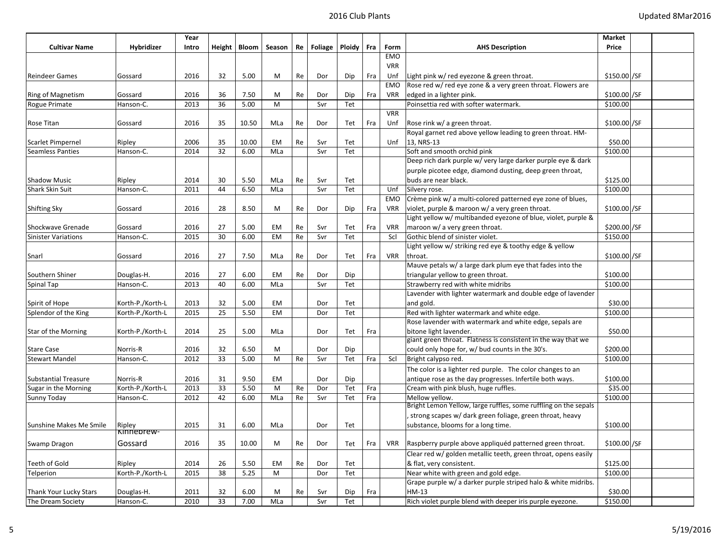|                             |                      | Year  |    |       |                         |    |                                 |     |     |            |                                                                 | Market        |  |
|-----------------------------|----------------------|-------|----|-------|-------------------------|----|---------------------------------|-----|-----|------------|-----------------------------------------------------------------|---------------|--|
| <b>Cultivar Name</b>        | Hybridizer           | Intro |    |       | Height   Bloom   Season |    | $Re \mid$ Foliage $\mid$ Ploidy |     | Fra | Form       | <b>AHS Description</b>                                          | Price         |  |
|                             |                      |       |    |       |                         |    |                                 |     |     | <b>EMO</b> |                                                                 |               |  |
|                             |                      |       |    |       |                         |    |                                 |     |     | <b>VRR</b> |                                                                 |               |  |
| <b>Reindeer Games</b>       | Gossard              | 2016  | 32 | 5.00  | M                       | Re | Dor                             | Dip | Fra | Unf        | Light pink w/ red eyezone & green throat.                       | \$150.00 / SF |  |
|                             |                      |       |    |       |                         |    |                                 |     |     | EMO        | Rose red w/ red eye zone & a very green throat. Flowers are     |               |  |
| Ring of Magnetism           | Gossard              | 2016  | 36 | 7.50  | M                       | Re | Dor                             | Dip | Fra | <b>VRR</b> | edged in a lighter pink.                                        | \$100.00 /SF  |  |
| Rogue Primate               | Hanson-C.            | 2013  | 36 | 5.00  | M                       |    | Svr                             | Tet |     |            | Poinsettia red with softer watermark.                           | \$100.00      |  |
|                             |                      |       |    |       |                         |    |                                 |     |     | <b>VRR</b> |                                                                 |               |  |
| Rose Titan                  | Gossard              | 2016  | 35 | 10.50 | MLa                     | Re | Dor                             | Tet | Fra | Unf        | Rose rink w/ a green throat.                                    | \$100.00 / SF |  |
|                             |                      |       |    |       |                         |    |                                 |     |     |            | Royal garnet red above yellow leading to green throat. HM-      |               |  |
| Scarlet Pimpernel           | Ripley               | 2006  | 35 | 10.00 | EM                      | Re | Svr                             | Tet |     | Unf        | 13, NRS-13                                                      | \$50.00       |  |
| <b>Seamless Panties</b>     | Hanson-C.            | 2014  | 32 | 6.00  | MLa                     |    | Svr                             | Tet |     |            | Soft and smooth orchid pink                                     | \$100.00      |  |
|                             |                      |       |    |       |                         |    |                                 |     |     |            | Deep rich dark purple w/ very large darker purple eye & dark    |               |  |
|                             |                      |       |    |       |                         |    |                                 |     |     |            | purple picotee edge, diamond dusting, deep green throat,        |               |  |
| <b>Shadow Music</b>         | Ripley               | 2014  | 30 | 5.50  | MLa                     | Re | Svr                             | Tet |     |            | buds are near black.                                            | \$125.00      |  |
| <b>Shark Skin Suit</b>      | Hanson-C.            | 2011  | 44 | 6.50  | MLa                     |    | Svr                             | Tet |     | Unf        | Silvery rose.                                                   | \$100.00      |  |
|                             |                      |       |    |       |                         |    |                                 |     |     | EMO        | Crème pink w/ a multi-colored patterned eye zone of blues,      |               |  |
| <b>Shifting Sky</b>         | Gossard              | 2016  | 28 | 8.50  | M                       | Re | Dor                             | Dip | Fra | <b>VRR</b> | violet, purple & maroon w/ a very green throat.                 | \$100.00 /SF  |  |
|                             |                      |       |    |       |                         |    |                                 |     |     |            | Light yellow w/ multibanded eyezone of blue, violet, purple &   |               |  |
| Shockwave Grenade           | Gossard              | 2016  | 27 | 5.00  | EM                      | Re | Svr                             | Tet | Fra | <b>VRR</b> | maroon w/ a very green throat.                                  | \$200.00 / SF |  |
| <b>Sinister Variations</b>  | Hanson-C.            | 2015  | 30 | 6.00  | EM                      | Re | Svr                             | Tet |     | Scl        | Gothic blend of sinister violet.                                | \$150.00      |  |
|                             |                      |       |    |       |                         |    |                                 |     |     |            | Light yellow w/ striking red eye & toothy edge & yellow         |               |  |
| Snarl                       | Gossard              | 2016  | 27 | 7.50  | MLa                     | Re | Dor                             | Tet | Fra | <b>VRR</b> | throat.                                                         | \$100.00 / SF |  |
|                             |                      |       |    |       |                         |    |                                 |     |     |            | Mauve petals w/ a large dark plum eye that fades into the       |               |  |
| Southern Shiner             | Douglas-H.           | 2016  | 27 | 6.00  | EM                      | Re | Dor                             | Dip |     |            | triangular yellow to green throat.                              | \$100.00      |  |
| Spinal Tap                  | Hanson-C.            | 2013  | 40 | 6.00  | MLa                     |    | Svr                             | Tet |     |            | Strawberry red with white midribs                               | \$100.00      |  |
|                             |                      |       |    |       |                         |    |                                 |     |     |            | Lavender with lighter watermark and double edge of lavender     |               |  |
| Spirit of Hope              | Korth-P./Korth-L     | 2013  | 32 | 5.00  | EM                      |    | Dor                             | Tet |     |            | and gold.                                                       | \$30.00       |  |
| Splendor of the King        | Korth-P./Korth-L     | 2015  | 25 | 5.50  | <b>EM</b>               |    | Dor                             | Tet |     |            | Red with lighter watermark and white edge.                      | \$100.00      |  |
|                             |                      |       |    |       |                         |    |                                 |     |     |            | Rose lavender with watermark and white edge, sepals are         |               |  |
| Star of the Morning         | Korth-P./Korth-L     | 2014  | 25 | 5.00  | MLa                     |    | Dor                             | Tet | Fra |            | bitone light lavender.                                          | \$50.00       |  |
|                             |                      |       |    |       |                         |    |                                 |     |     |            | giant green throat. Flatness is consistent in the way that we   |               |  |
| <b>Stare Case</b>           | Norris-R             | 2016  | 32 | 6.50  | M                       |    | Dor                             | Dip |     |            | could only hope for, w/ bud counts in the 30's.                 | \$200.00      |  |
| <b>Stewart Mandel</b>       | Hanson-C.            | 2012  | 33 | 5.00  | M                       | Re | Svr                             | Tet | Fra | Scl        | Bright calypso red.                                             | \$100.00      |  |
|                             |                      |       |    |       |                         |    |                                 |     |     |            | The color is a lighter red purple. The color changes to an      |               |  |
| <b>Substantial Treasure</b> | Norris-R             | 2016  | 31 | 9.50  | EM                      |    | Dor                             | Dip |     |            | antique rose as the day progresses. Infertile both ways.        | \$100.00      |  |
| Sugar in the Morning        | Korth-P./Korth-L     | 2013  | 33 | 5.50  | M                       | Re | Dor                             | Tet | Fra |            | Cream with pink blush, huge ruffles.                            | \$35.00       |  |
| Sunny Today                 | Hanson-C.            | 2012  | 42 | 6.00  | MLa                     | Re | Svr                             | Tet | Fra |            | Mellow yellow.                                                  | \$100.00      |  |
|                             |                      |       |    |       |                         |    |                                 |     |     |            | Bright Lemon Yellow, large ruffles, some ruffling on the sepals |               |  |
|                             |                      |       |    |       |                         |    |                                 |     |     |            | strong scapes w/ dark green foliage, green throat, heavy        |               |  |
| Sunshine Makes Me Smile     | Ripley<br>Kinnebrew- | 2015  | 31 | 6.00  | MLa                     |    | Dor                             | Tet |     |            | substance, blooms for a long time.                              | \$100.00      |  |
|                             |                      |       |    |       |                         |    |                                 |     |     |            |                                                                 |               |  |
| Swamp Dragon                | Gossard              | 2016  | 35 | 10.00 | M                       | Re | Dor                             | Tet | Fra | VRR        | Raspberry purple above appliquéd patterned green throat.        | \$100.00 /SF  |  |
|                             |                      |       |    |       |                         |    |                                 |     |     |            | Clear red w/ golden metallic teeth, green throat, opens easily  |               |  |
| Teeth of Gold               | Ripley               | 2014  | 26 | 5.50  | EM                      | Re | Dor                             | Tet |     |            | & flat, very consistent.                                        | \$125.00      |  |
| Telperion                   | Korth-P./Korth-L     | 2015  | 38 | 5.25  | М                       |    | Dor                             | Tet |     |            | Near white with green and gold edge.                            | \$100.00      |  |
|                             |                      |       |    |       |                         |    |                                 |     |     |            | Grape purple w/ a darker purple striped halo & white midribs.   |               |  |
| Thank Your Lucky Stars      | Douglas-H.           | 2011  | 32 | 6.00  | M                       | Re | Svr                             | Dip | Fra |            | HM-13                                                           | \$30.00       |  |
| The Dream Society           | Hanson-C.            | 2010  | 33 | 7.00  | MLa                     |    | Svr                             | Tet |     |            | Rich violet purple blend with deeper iris purple eyezone.       | \$150.00      |  |